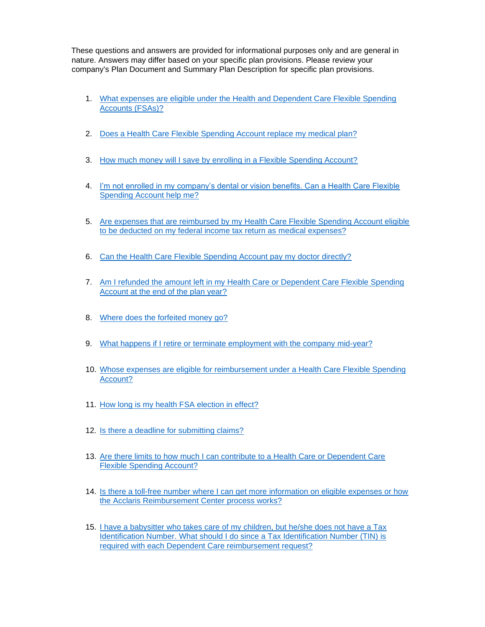These questions and answers are provided for informational purposes only and are general in nature. Answers may differ based on your specific plan provisions. Please review your company's Plan Document and [Summary](#page-0-0) Plan Description for specific plan provisions.

- <span id="page-0-0"></span>1. [What expenses are eligible under the Health and Dependent Care Flexible Spending](#page-1-0) [Accounts \(FSAs\)?](#page-1-0)
- 2. [Does a Health Care Flexible Spending Account replace my medical plan?](#page-2-0)
- 3. [How much money will I save by enrolling in a Flexible Spending Account?](#page-2-1)
- 4. [I'm not enrolled in my company's dental or vision benefits. Can a Health Care Flexible](#page-2-2)  [Spending Account help me?](#page-2-2)
- 5. [Are expenses that are reimbursed by my Health Care Flexible Spending Account eligible](#page-2-3) [to be deducted on my federal income tax return as medical expenses?](#page-2-3)
- 6. [Can the Health Care Flexible Spending Account pay my doctor directly?](#page-2-4)
- 7. [Am I refunded the amount left in my Health Care or Dependent Care Flexible Spending](#page-3-0) [Account at the end of the plan year?](#page-3-0)
- 8. [Where does the forfeited money go?](#page-3-1)
- 9. [What happens if I retire or terminate employment with the company mid-year?](#page-3-2)
- 10. [Whose expenses are eligible for reimbursement under a Health Care Flexible Spending](#page-4-0) [Account?](#page-4-0)
- 11. [How long is my health FSA election in effect?](#page-4-1)
- 12. [Is there a deadline for submitting claims?](#page-4-2)
- 13. [Are there limits to how much I can contribute to a Health Care or Dependent Care](#page-4-3) [Flexible Spending Account?](#page-4-3)
- 14. [Is there a toll-free number where I can get more information on eligible expenses or how](#page-5-0) [the Acclaris Reimbursement Center process works?](#page-5-0)
- 15. [I have a babysitter who takes care of my children, but he/she does not have a Tax](#page-5-1) [Identification Number. What should I do since a Tax Identification Number \(TIN\) is](#page-5-1) [required with each Dependent Care reimbursement request?](#page-5-1)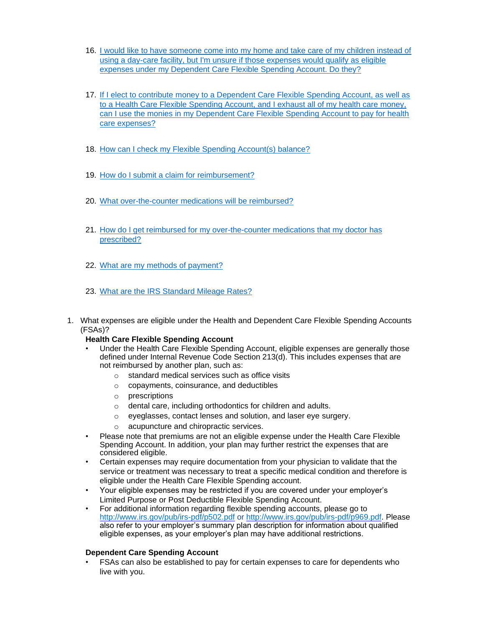- 16. [I would like to have someone come into my home and take care of my children instead of](#page-5-2) [using a day-care facility, but I'm unsure if those expenses would qualify as eligible](#page-5-2)  [expenses under my Dependent Care Flexible Spending Account. Do they?](#page-5-2)
- 17. If I elect to contribute [money to a Dependent Care Flexible Spending Account, as well as](#page-5-3) [to a Health Care Flexible Spending Account, and I exhaust all of my health care money,](#page-5-3)  [can I use the monies in my Dependent Care Flexible Spending Account to pay for health](#page-5-3) [care expenses?](#page-5-3)
- 18. [How can I check my Flexible Spending Account\(s\) balance?](#page-5-4)
- 19. [How do I submit a claim for reimbursement?](#page-6-0)
- 20. [What over-the-counter medications will be reimbursed?](#page-6-1)
- 21. [How do I get reimbursed for my over-the-counter medications that my doctor has](#page-6-2) [prescribed?](#page-6-2)
- 22. [What are my methods of payment?](#page-7-0)
- 23. [What are the IRS Standard Mileage Rates?](#page-7-1)
- <span id="page-1-0"></span>1. What expenses are eligible under the Health and Dependent Care Flexible Spending Accounts (FSAs)?
	- **Health Care Flexible Spending Account**
	- Under the Health Care Flexible Spending Account, eligible expenses are generally those defined under Internal Revenue Code Section 213(d). This includes expenses that are not reimbursed by another plan, such as:
		- o standard medical services such as office visits
		- o copayments, coinsurance, and deductibles
		- o prescriptions
		- o dental care, including orthodontics for children and adults.
		- o eyeglasses, contact lenses and solution, and laser eye surgery.
		- o acupuncture and chiropractic services.
	- Please note that premiums are not an eligible expense under the Health Care Flexible Spending Account. In addition, your plan may further restrict the expenses that are considered eligible.
	- Certain expenses may require documentation from your physician to validate that the service or treatment was necessary to treat a specific medical condition and therefore is eligible under the Health Care Flexible Spending account.
	- Your eligible expenses may be restricted if you are covered under your employer's Limited Purpose or Post Deductible Flexible Spending Account.
	- For additional information regarding flexible spending accounts, please go to <http://www.irs.gov/pub/irs-pdf/p502.pdf> [o](http://www.irs.gov/pub/irs-pdf/p502.pdf)[r](http://www.irs.gov/pub/irs-pdf/p969.pdf) [http://www.irs.gov/pub/irs-pdf/p969.pdf.](http://www.irs.gov/pub/irs-pdf/p969.pdf) Please also refer to your employer's summary plan description for information about qualified eligible expenses, as your employer's plan may have additional restrictions.

# **Dependent Care Spending Account**

• FSAs can also be established to pay for certain expenses to care for dependents who live with you.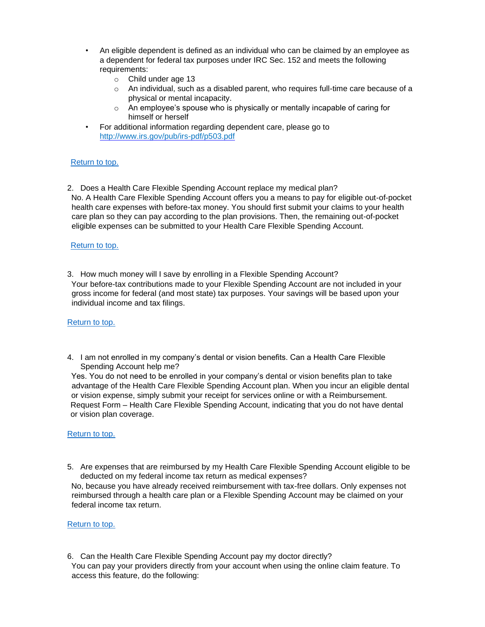- An eligible dependent is defined as an individual who can be claimed by an employee as a dependent for federal tax purposes under IRC Sec. 152 and meets the following requirements:
	- o Child under age 13
	- $\circ$  An individual, such as a disabled parent, who requires full-time care because of a physical or mental incapacity.
	- $\circ$  An employee's spouse who is physically or mentally incapable of caring for himself or herself
- For additional information regarding dependent care, please go to <http://www.irs.gov/pub/irs-pdf/p503.pdf>

<span id="page-2-0"></span>2. Does a Health Care Flexible Spending Account replace my medical plan? No. A Health Care Flexible Spending Account offers you a means to pay for eligible out-of-pocket health care expenses with before-tax money. You should first submit your claims to your health care plan so they can pay according to the plan provisions. Then, the remaining out-of-pocket eligible expenses can be submitted to your Health Care Flexible Spending Account.

# [Return to top.](#page-0-0)

<span id="page-2-1"></span>3. How much money will I save by enrolling in a Flexible Spending Account? Your before-tax contributions made to your Flexible Spending Account are not included in your gross income for federal (and most state) tax purposes. Your savings will be based upon your individual income and tax filings.

# [Return to top.](#page-0-0)

<span id="page-2-2"></span>4. I am not enrolled in my company's dental or vision benefits. Can a Health Care Flexible Spending Account help me?

Yes. You do not need to be enrolled in your company's dental or vision benefits plan to take advantage of the Health Care Flexible Spending Account plan. When you incur an eligible dental or vision expense, simply submit your receipt for services online or with a Reimbursement. Request Form – Health Care Flexible Spending Account, indicating that you do not have dental or vision plan coverage.

# [Return to top.](#page-0-0)

<span id="page-2-3"></span>5. Are expenses that are reimbursed by my Health Care Flexible Spending Account eligible to be deducted on my federal income tax return as medical expenses?

No, because you have already received reimbursement with tax-free dollars. Only expenses not reimbursed through a health care plan or a Flexible Spending Account may be claimed on your federal income tax return.

#### [Return to top.](#page-0-0)

<span id="page-2-4"></span>6. Can the Health Care Flexible Spending Account pay my doctor directly? You can pay your providers directly from your account when using the online claim feature. To access this feature, do the following: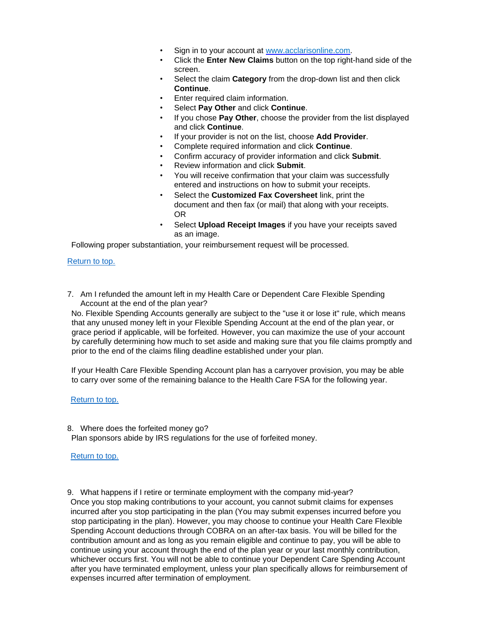- Sign in to your account at [www.acclarisonline.com.](http://www.acclarisonline.com/)
- Click the **Enter New Claims** button on the top right-hand side of the screen.
- Select the claim **Category** from the drop-down list and then click **Continue**.
- Enter required claim information.
- Select **Pay Other** and click **Continue**.
- If you chose **Pay Other**, choose the provider from the list displayed and click **Continue**.
- If your provider is not on the list, choose **Add Provider**.
- Complete required information and click **Continue**.
- Confirm accuracy of provider information and click **Submit**.
- Review information and click **Submit**.
- You will receive confirmation that your claim was successfully entered and instructions on how to submit your receipts.
- Select the **Customized Fax Coversheet** link, print the document and then fax (or mail) that along with your receipts. OR
- Select **Upload Receipt Images** if you have your receipts saved as an image.

Following proper substantiation, your reimbursement request will be processed.

# [Return to top.](#page-0-0)

<span id="page-3-0"></span>7. Am I refunded the amount left in my Health Care or Dependent Care Flexible Spending Account at the end of the plan year?

No. Flexible Spending Accounts generally are subject to the "use it or lose it" rule, which means that any unused money left in your Flexible Spending Account at the end of the plan year, or grace period if applicable, will be forfeited. However, you can maximize the use of your account by carefully determining how much to set aside and making sure that you file claims promptly and prior to the end of the claims filing deadline established under your plan.

If your Health Care Flexible Spending Account plan has a carryover provision, you may be able to carry over some of the remaining balance to the Health Care FSA for the following year.

# [Return to top.](#page-0-0)

<span id="page-3-1"></span>8. Where does the forfeited money go? Plan sponsors abide by IRS regulations for the use of forfeited money.

# [Return to top.](#page-0-0)

<span id="page-3-2"></span>9. What happens if I retire or terminate employment with the company mid-year? Once you stop making contributions to your account, you cannot submit claims for expenses incurred after you stop participating in the plan (You may submit expenses incurred before you stop participating in the plan). However, you may choose to continue your Health Care Flexible Spending Account deductions through COBRA on an after-tax basis. You will be billed for the contribution amount and as long as you remain eligible and continue to pay, you will be able to continue using your account through the end of the plan year or your last monthly contribution, whichever occurs first. You will not be able to continue your Dependent Care Spending Account after you have terminated employment, unless your plan specifically allows for reimbursement of expenses incurred after termination of employment.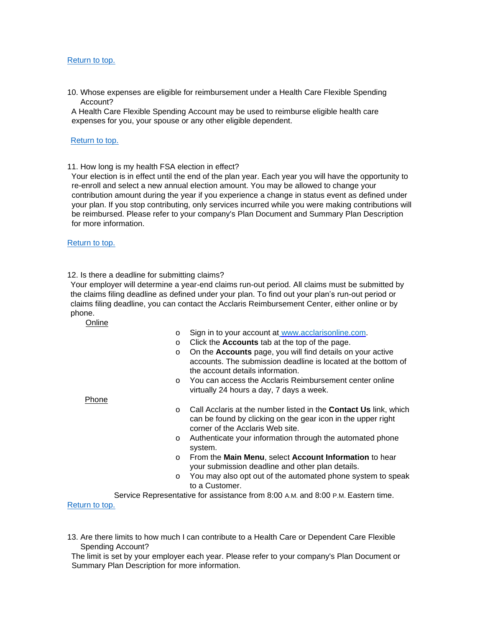<span id="page-4-0"></span>10. Whose expenses are eligible for reimbursement under a Health Care Flexible Spending Account?

A Health Care Flexible Spending Account may be used to reimburse eligible health care expenses for you, your spouse or any other eligible dependent.

### [Return to top.](#page-0-0)

<span id="page-4-1"></span>11. How long is my health FSA election in effect?

Your election is in effect until the end of the plan year. Each year you will have the opportunity to re-enroll and select a new annual election amount. You may be allowed to change your contribution amount during the year if you experience a change in status event as defined under your plan. If you stop contributing, only services incurred while you were making contributions will be reimbursed. Please refer to your company's Plan Document and Summary Plan Description for more information.

# [Return to top.](#page-0-0)

### <span id="page-4-2"></span>12. Is there a deadline for submitting claims?

Your employer will determine a year-end claims run-out period. All claims must be submitted by the claims filing deadline as defined under your plan. To find out your plan's run-out period or claims filing deadline, you can contact the Acclaris Reimbursement Center, either online or by phone.

# **Online**

- o Sign in to your account at [www.acclarisonline.com.](http://www.acclarisonline.com/)
- o Click the **Accounts** tab at the top of the page.
- o On the **Accounts** page, you will find details on your active accounts. The submission deadline is located at the bottom of the account details information.
- o You can access the Acclaris Reimbursement center online virtually 24 hours a day, 7 days a week.

Phone

- o Call Acclaris at the number listed in the **Contact Us** link, which can be found by clicking on the gear icon in the upper right corner of the Acclaris Web site.
- o Authenticate your information through the automated phone system.
- o From the **Main Menu**, select **Account Information** to hear your submission deadline and other plan details.
- o You may also opt out of the automated phone system to speak to a Customer.

Service Representative for assistance from 8:00 A.M. and 8:00 P.M. Eastern time. [Return to top.](#page-0-0)

<span id="page-4-3"></span>13. Are there limits to how much I can contribute to a Health Care or Dependent Care Flexible Spending Account?

The limit is set by your employer each year. Please refer to your company's Plan Document or Summary Plan Description for more information.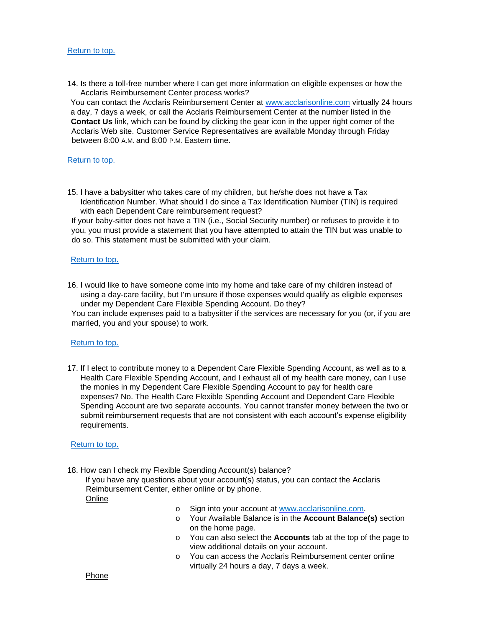<span id="page-5-0"></span>14. Is there a toll-free number where I can get more information on eligible expenses or how the Acclaris Reimbursement Center process works?

You can contact the Acclaris Reimbursement Center at [www.acclarisonline.com](http://www.acclarisonline.com/) [vi](http://www.acclarisonline.com/)rtually 24 hours a day, 7 days a week, or call the Acclaris Reimbursement Center at the number listed in the **Contact Us** link, which can be found by clicking the gear icon in the upper right corner of the Acclaris Web site. Customer Service Representatives are available Monday through Friday between 8:00 A.M. and 8:00 P.M. Eastern time.

#### [Return to top.](#page-0-0)

<span id="page-5-1"></span>15. I have a babysitter who takes care of my children, but he/she does not have a Tax Identification Number. What should I do since a Tax Identification Number (TIN) is required with each Dependent Care reimbursement request?

If your baby-sitter does not have a TIN (i.e., Social Security number) or refuses to provide it to you, you must provide a statement that you have attempted to attain the TIN but was unable to do so. This statement must be submitted with your claim.

### [Return to top.](#page-0-0)

<span id="page-5-2"></span>16. I would like to have someone come into my home and take care of my children instead of using a day-care facility, but I'm unsure if those expenses would qualify as eligible expenses under my Dependent Care Flexible Spending Account. Do they?

You can include expenses paid to a babysitter if the services are necessary for you (or, if you are married, you and your spouse) to work.

#### [Return to top.](#page-0-0)

<span id="page-5-3"></span>17. If I elect to contribute money to a Dependent Care Flexible Spending Account, as well as to a Health Care Flexible Spending Account, and I exhaust all of my health care money, can I use the monies in my Dependent Care Flexible Spending Account to pay for health care expenses? No. The Health Care Flexible Spending Account and Dependent Care Flexible Spending Account are two separate accounts. You cannot transfer money between the two or submit reimbursement requests that are not consistent with each account's expense eligibility requirements.

#### [Return to top.](#page-0-0)

<span id="page-5-4"></span>18. How can I check my Flexible Spending Account(s) balance?

If you have any questions about your account(s) status, you can contact the Acclaris Reimbursement Center, either online or by phone.

Onlin[e](http://www.acclarisonline.com/)

- o Sign into your account at [www.acclarisonline.com.](http://www.acclarisonline.com/)
- o Your Available Balance is in the **Account Balance(s)** section on the home page.
- o You can also select the **Accounts** tab at the top of the page to view additional details on your account.
- o You can access the Acclaris Reimbursement center online virtually 24 hours a day, 7 days a week.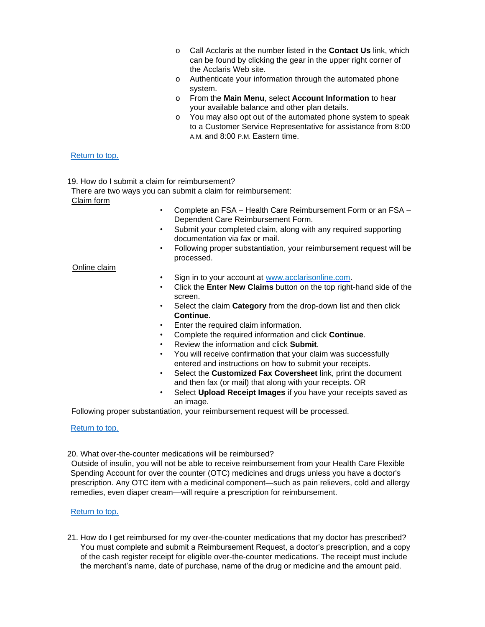- o Call Acclaris at the number listed in the **Contact Us** link, which can be found by clicking the gear in the upper right corner of the Acclaris Web site.
- o Authenticate your information through the automated phone system.
- o From the **Main Menu**, select **Account Information** to hear your available balance and other plan details.
- o You may also opt out of the automated phone system to speak to a Customer Service Representative for assistance from 8:00 A.M. and 8:00 P.M. Eastern time.

<span id="page-6-0"></span>19. How do I submit a claim for reimbursement?

There are two ways you can submit a claim for reimbursement:

Claim form

- Complete an FSA Health Care Reimbursement Form or an FSA Dependent Care Reimbursement Form.
- Submit your completed claim, along with any required supporting documentation via fax or mail.
- Following proper substantiation, your reimbursement request will be processed.

### Online claim

- Sign in to your account at [www.acclarisonline.com.](http://www.acclarisonline.com/)
- Click the **Enter New Claims** button on the top right-hand side of the screen.
- Select the claim **Category** from the drop-down list and then click **Continue**.
- Enter the required claim information.
- Complete the required information and click **Continue**.
- Review the information and click **Submit**.
- You will receive confirmation that your claim was successfully entered and instructions on how to submit your receipts.
- Select the **Customized Fax Coversheet** link, print the document and then fax (or mail) that along with your receipts. OR
- Select **Upload Receipt Images** if you have your receipts saved as an image.

Following proper substantiation, your reimbursement request will be processed.

# [Return to top.](#page-0-0)

### <span id="page-6-1"></span>20. What over-the-counter medications will be reimbursed?

Outside of insulin, you will not be able to receive reimbursement from your Health Care Flexible Spending Account for over the counter (OTC) medicines and drugs unless you have a doctor's prescription. Any OTC item with a medicinal component—such as pain relievers, cold and allergy remedies, even diaper cream—will require a prescription for reimbursement.

# [Return to top.](#page-0-0)

<span id="page-6-2"></span>21. How do I get reimbursed for my over-the-counter medications that my doctor has prescribed? You must complete and submit a Reimbursement Request, a doctor's prescription, and a copy of the cash register receipt for eligible over-the-counter medications. The receipt must include the merchant's name, date of purchase, name of the drug or medicine and the amount paid.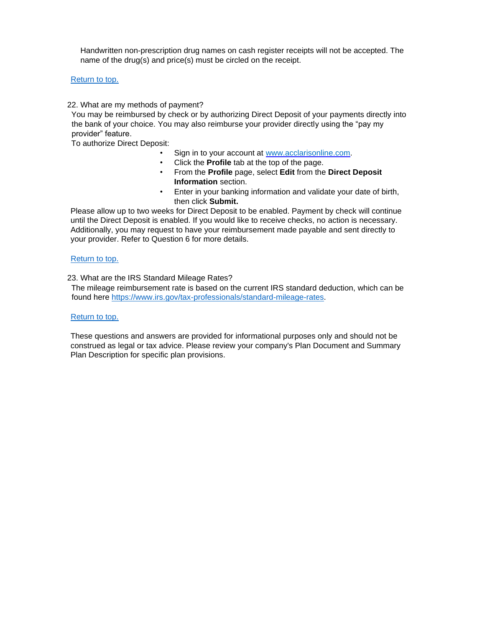Handwritten non-prescription drug names on cash register receipts will not be accepted. The name of the drug(s) and price(s) must be circled on the receipt.

[Return to top.](#page-0-0)

<span id="page-7-0"></span>22. What are my methods of payment?

You may be reimbursed by check or by authorizing Direct Deposit of your payments directly into the bank of your choice. You may also reimburse your provider directly using the "pay my provider" feature.

To authorize Direct Deposit:

- Sign in to your account at [www.acclarisonline.com.](http://www.acclarisonline.com/)
- Click the **Profile** tab at the top of the page.
- From the **Profile** page, select **Edit** from the **Direct Deposit Information** section.
- Enter in your banking information and validate your date of birth, then click **Submit.**

Please allow up to two weeks for Direct Deposit to be enabled. Payment by check will continue until the Direct Deposit is enabled. If you would like to receive checks, no action is necessary. Additionally, you may request to have your reimbursement made payable and sent directly to your provider. Refer to Question 6 for more details.

# [Return to top.](#page-0-0)

<span id="page-7-1"></span>23. What are the IRS Standard Mileage Rates?

The mileage reimbursement rate is based on the current IRS standard deduction, which can be found here [https://www.irs.gov/tax-professionals/standard-mileage-rates.](https://www.irs.gov/tax-professionals/standard-mileage-rates)

# [Return to top.](#page-0-0)

These questions and answers are provided for informational purposes only and should not be construed as legal or tax advice. Please review your company's Plan Document and Summary Plan Description for specific plan provisions.